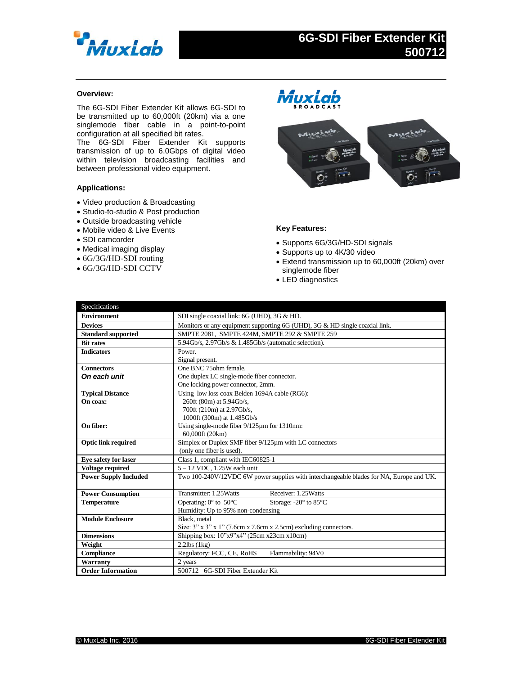

# **Overview:**

The 6G-SDI Fiber Extender Kit allows 6G-SDI to be transmitted up to 60,000ft (20km) via a one singlemode fiber cable in a point-to-point configuration at all specified bit rates.

The 6G-SDI Fiber Extender Kit supports transmission of up to 6.0Gbps of digital video within television broadcasting facilities and between professional video equipment.

# **Applications:**

- Video production & Broadcasting
- Studio-to-studio & Post production
- Outside broadcasting vehicle
- Mobile video & Live Events
- SDI camcorder
- Medical imaging display
- 6G/3G/HD-SDI routing
- 6G/3G/HD-SDI CCTV





# **Key Features:**

- Supports 6G/3G/HD-SDI signals
- Supports up to 4K/30 video
- Extend transmission up to 60,000ft (20km) over singlemode fiber
- LED diagnostics

| Specifications               |                                                                                         |
|------------------------------|-----------------------------------------------------------------------------------------|
| <b>Environment</b>           | SDI single coaxial link: 6G (UHD), 3G & HD.                                             |
| <b>Devices</b>               | Monitors or any equipment supporting 6G (UHD), 3G & HD single coaxial link.             |
| <b>Standard supported</b>    | SMPTE 2081, SMPTE 424M, SMPTE 292 & SMPTE 259                                           |
| <b>Bit rates</b>             | 5.94Gb/s, 2.97Gb/s & 1.485Gb/s (automatic selection).                                   |
| <b>Indicators</b>            | Power.                                                                                  |
|                              | Signal present.                                                                         |
| <b>Connectors</b>            | One BNC 75ohm female.                                                                   |
| On each unit                 | One duplex LC single-mode fiber connector.                                              |
|                              | One locking power connector, 2mm.                                                       |
| <b>Typical Distance</b>      | Using low loss coax Belden 1694A cable (RG6):                                           |
| On coax:                     | 260ft (80m) at 5.94Gb/s,                                                                |
|                              | 700ft (210m) at 2.97Gb/s,                                                               |
|                              | 1000ft (300m) at 1.485Gb/s                                                              |
| On fiber:                    | Using single-mode fiber 9/125um for 1310nm:                                             |
|                              | 60,000ft (20km)                                                                         |
| <b>Optic link required</b>   | Simplex or Duplex SMF fiber 9/125um with LC connectors                                  |
|                              | (only one fiber is used).                                                               |
| Eye safety for laser         | Class 1, compliant with IEC60825-1                                                      |
| Voltage required             | 5 - 12 VDC, 1.25W each unit                                                             |
| <b>Power Supply Included</b> | Two 100-240V/12VDC 6W power supplies with interchangeable blades for NA, Europe and UK. |
| <b>Power Consumption</b>     | Transmitter: 1.25Watts<br>Receiver: 1.25Watts                                           |
| <b>Temperature</b>           | Operating: $0^{\circ}$ to 50 $^{\circ}$ C<br>Storage: $-20^\circ$ to 85 $\degree$ C     |
|                              | Humidity: Up to 95% non-condensing                                                      |
| <b>Module Enclosure</b>      | Black, metal                                                                            |
|                              | Size: $3''$ x $3''$ x $1''$ (7.6cm x 7.6cm x 2.5cm) excluding connectors.               |
| <b>Dimensions</b>            | Shipping box: $10"x9"x4"$ (25cm x23cm x10cm)                                            |
| Weight                       | $2.2$ lbs $(1kg)$                                                                       |
| Compliance                   | Regulatory: FCC, CE, RoHS<br>Flammability: 94V0                                         |
| <b>Warranty</b>              | 2 years                                                                                 |
| <b>Order Information</b>     | 500712 6G-SDI Fiber Extender Kit                                                        |